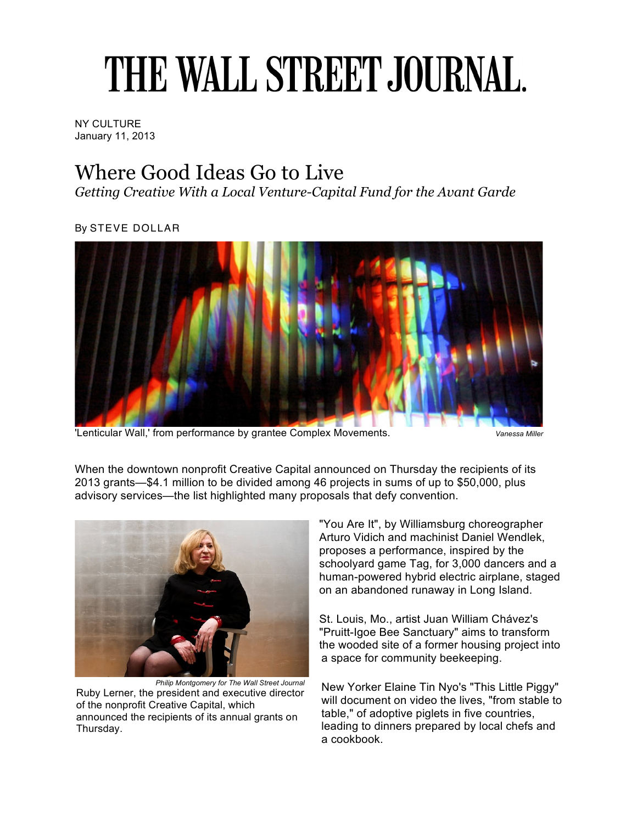## THE WALL STREET JOURNAL.

NY CULTURE January 11, 2013

## Where Good Ideas Go to Live

*Getting Creative With a Local Venture-Capital Fund for the Avant Garde*

By STEVE DOLLAR



'Lenticular Wall,' from performance by grantee Complex Movements. *Vanessa Mille* 

When the downtown nonprofit Creative Capital announced on Thursday the recipients of its 2013 grants—\$4.1 million to be divided among 46 projects in sums of up to \$50,000, plus advisory services—the list highlighted many proposals that defy convention.



*Philip Montgomery for The Wall Street Journal* Ruby Lerner, the president and executive director of the nonprofit Creative Capital, which announced the recipients of its annual grants on Thursday.

"You Are It", by Williamsburg choreographer Arturo Vidich and machinist Daniel Wendlek, proposes a performance, inspired by the schoolyard game Tag, for 3,000 dancers and a human-powered hybrid electric airplane, staged on an abandoned runaway in Long Island.

St. Louis, Mo., artist Juan William Chávez's "Pruitt-Igoe Bee Sanctuary" aims to transform the wooded site of a former housing project into a space for community beekeeping.

New Yorker Elaine Tin Nyo's "This Little Piggy" will document on video the lives, "from stable to table," of adoptive piglets in five countries, leading to dinners prepared by local chefs and a cookbook.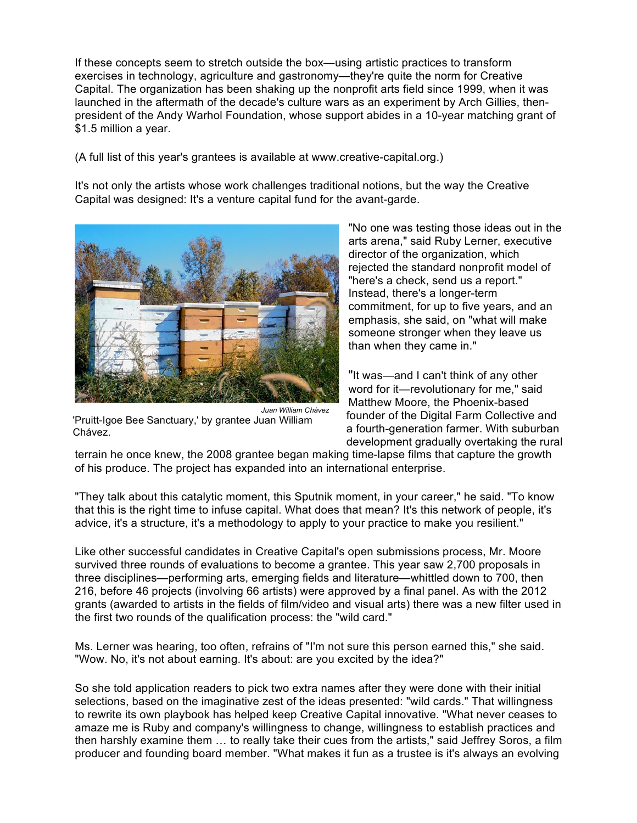If these concepts seem to stretch outside the box—using artistic practices to transform exercises in technology, agriculture and gastronomy—they're quite the norm for Creative Capital. The organization has been shaking up the nonprofit arts field since 1999, when it was launched in the aftermath of the decade's culture wars as an experiment by Arch Gillies, thenpresident of the Andy Warhol Foundation, whose support abides in a 10-year matching grant of \$1.5 million a year.

(A full list of this year's grantees is available at www.creative-capital.org.)

It's not only the artists whose work challenges traditional notions, but the way the Creative Capital was designed: It's a venture capital fund for the avant-garde.



*Juan William Chávez* 'Pruitt-Igoe Bee Sanctuary,' by grantee Juan William Chávez.

"No one was testing those ideas out in the arts arena," said Ruby Lerner, executive director of the organization, which rejected the standard nonprofit model of "here's a check, send us a report." Instead, there's a longer-term commitment, for up to five years, and an emphasis, she said, on "what will make someone stronger when they leave us than when they came in."

"It was—and I can't think of any other word for it—revolutionary for me," said Matthew Moore, the Phoenix-based founder of the Digital Farm Collective and a fourth-generation farmer. With suburban development gradually overtaking the rural

terrain he once knew, the 2008 grantee began making time-lapse films that capture the growth of his produce. The project has expanded into an international enterprise.

"They talk about this catalytic moment, this Sputnik moment, in your career," he said. "To know that this is the right time to infuse capital. What does that mean? It's this network of people, it's advice, it's a structure, it's a methodology to apply to your practice to make you resilient."

Like other successful candidates in Creative Capital's open submissions process, Mr. Moore survived three rounds of evaluations to become a grantee. This year saw 2,700 proposals in three disciplines—performing arts, emerging fields and literature—whittled down to 700, then 216, before 46 projects (involving 66 artists) were approved by a final panel. As with the 2012 grants (awarded to artists in the fields of film/video and visual arts) there was a new filter used in the first two rounds of the qualification process: the "wild card."

Ms. Lerner was hearing, too often, refrains of "I'm not sure this person earned this," she said. "Wow. No, it's not about earning. It's about: are you excited by the idea?"

So she told application readers to pick two extra names after they were done with their initial selections, based on the imaginative zest of the ideas presented: "wild cards." That willingness to rewrite its own playbook has helped keep Creative Capital innovative. "What never ceases to amaze me is Ruby and company's willingness to change, willingness to establish practices and then harshly examine them … to really take their cues from the artists," said Jeffrey Soros, a film producer and founding board member. "What makes it fun as a trustee is it's always an evolving